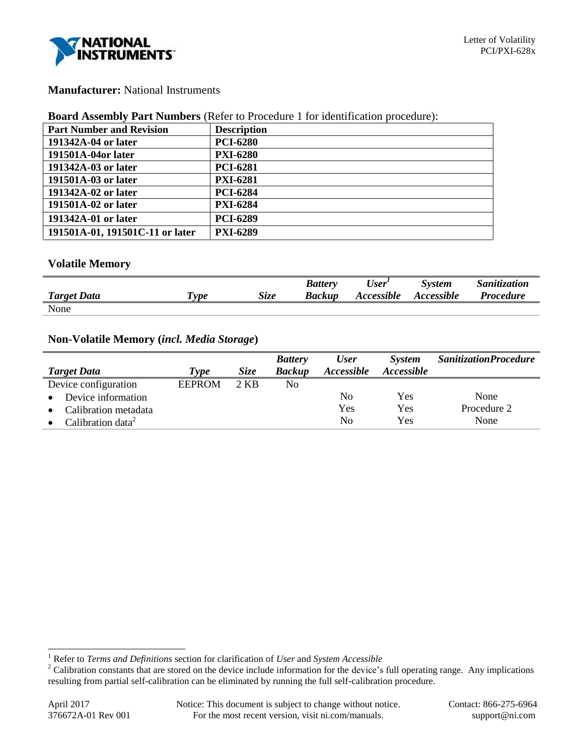

# **Manufacturer:** National Instruments

#### **Board Assembly Part Numbers** (Refer to Procedure 1 for identification procedure):

| <b>Part Number and Revision</b> | <b>Description</b> |
|---------------------------------|--------------------|
| 191342A-04 or later             | <b>PCI-6280</b>    |
| 191501A-04or later              | <b>PXI-6280</b>    |
| 191342A-03 or later             | <b>PCI-6281</b>    |
| 191501A-03 or later             | <b>PXI-6281</b>    |
| 191342A-02 or later             | <b>PCI-6284</b>    |
| 191501A-02 or later             | <b>PXI-6284</b>    |
| 191342A-01 or later             | <b>PCI-6289</b>    |
| 191501A-01, 191501C-11 or later | <b>PXI-6289</b>    |

## **Volatile Memory**

|                    |            |      | <b>Battery</b> | $\iota$ User <sup>1</sup> | System     | Sanitization     |
|--------------------|------------|------|----------------|---------------------------|------------|------------------|
| <b>Target Data</b> | <i>vne</i> | Size | <b>Backup</b>  | <i>Accessible</i>         | Accessible | <b>Procedure</b> |
| None               |            |      |                |                           |            |                  |

## **Non-Volatile Memory (***incl. Media Storage***)**

|                               |               |             | <b>Battery</b> | <b>User</b>              | System     | <b>SanitizationProcedure</b> |
|-------------------------------|---------------|-------------|----------------|--------------------------|------------|------------------------------|
| <b>Target Data</b>            | Type          | <i>Size</i> | <b>Backup</b>  | <i><b>Accessible</b></i> | Accessible |                              |
| Device configuration          | <b>EEPROM</b> | 2 KB        | No             |                          |            |                              |
| Device information            |               |             |                | No                       | Yes        | None                         |
| Calibration metadata          |               |             |                | Yes                      | Yes        | Procedure 2                  |
| Calibration data <sup>2</sup> |               |             |                | No                       | Yes        | None                         |

l

<sup>1</sup> Refer to *Terms and Definitions* section for clarification of *User* and *System Accessible*

<sup>&</sup>lt;sup>2</sup> Calibration constants that are stored on the device include information for the device's full operating range. Any implications resulting from partial self-calibration can be eliminated by running the full self-calibration procedure.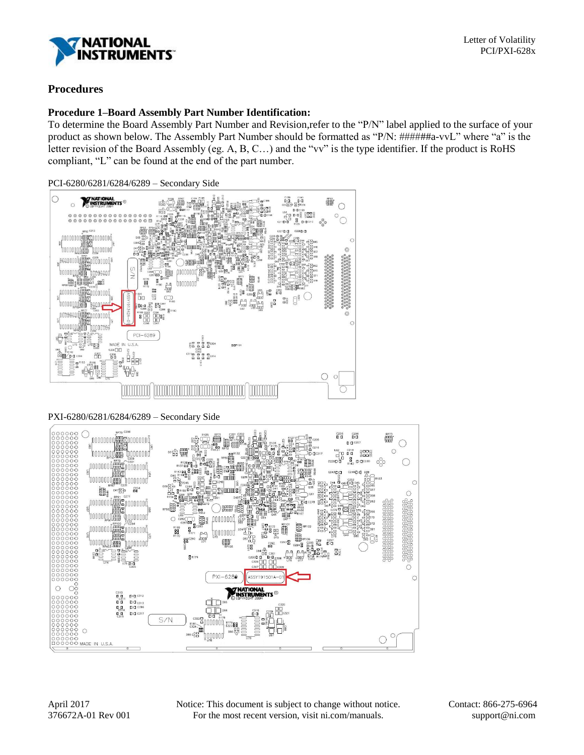

# **Procedures**

## **Procedure 1–Board Assembly Part Number Identification:**

To determine the Board Assembly Part Number and Revision,refer to the "P/N" label applied to the surface of your product as shown below. The Assembly Part Number should be formatted as "P/N: ######a-vvL" where "a" is the letter revision of the Board Assembly (eg. A, B, C…) and the "vv" is the type identifier. If the product is RoHS compliant, "L" can be found at the end of the part number.

PCI-6280/6281/6284/6289 – Secondary Side



PXI-6280/6281/6284/6289 – Secondary Side



April 2017 Notice: This document is subject to change without notice. Contact: 866-275-6964 376672A-01 Rev 001 For the most recent version, visit ni.com/manuals. support@ni.com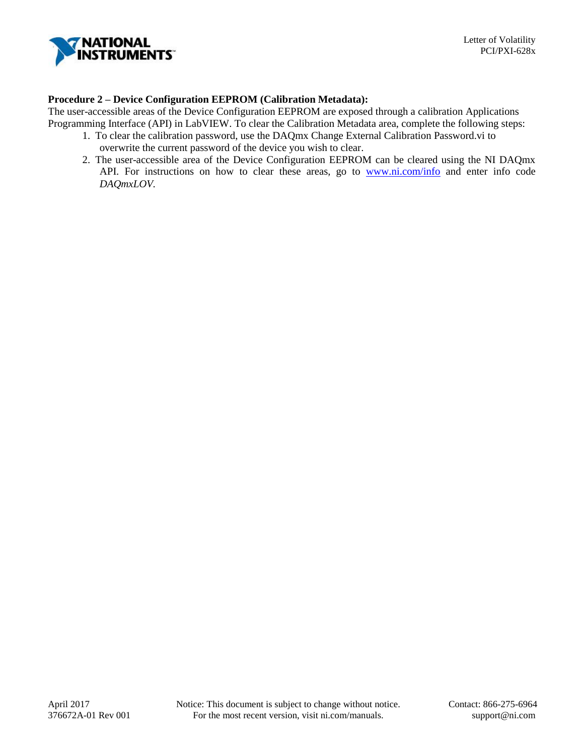

## **Procedure 2 – Device Configuration EEPROM (Calibration Metadata):**

The user-accessible areas of the Device Configuration EEPROM are exposed through a calibration Applications Programming Interface (API) in LabVIEW. To clear the Calibration Metadata area, complete the following steps:

- 1. To clear the calibration password, use the DAQmx Change External Calibration Password.vi to overwrite the current password of the device you wish to clear.
- 2. The user-accessible area of the Device Configuration EEPROM can be cleared using the NI DAQmx API. For instructions on how to clear these areas, go to [www.ni.com/info](http://www.ni.com/info) and enter info code *DAQmxLOV.*